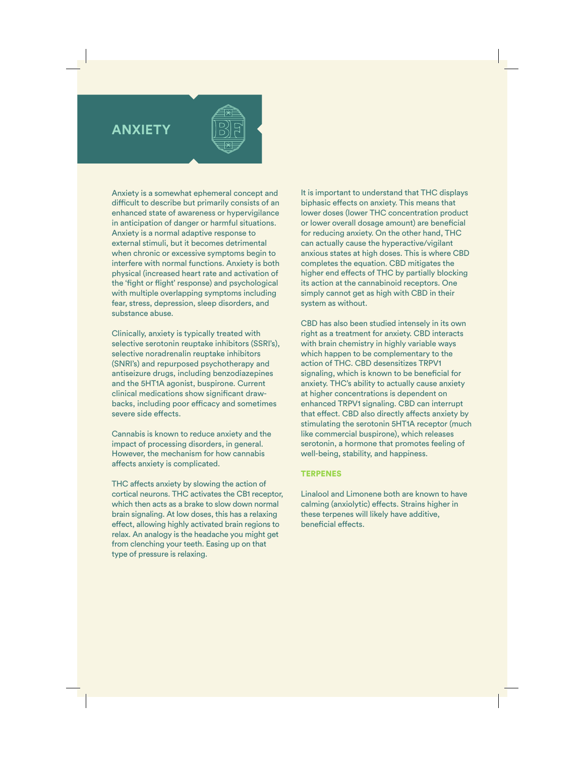## **ANXIETY**



Anxiety is a somewhat ephemeral concept and difficult to describe but primarily consists of an enhanced state of awareness or hypervigilance in anticipation of danger or harmful situations. Anxiety is a normal adaptive response to external stimuli, but it becomes detrimental when chronic or excessive symptoms begin to interfere with normal functions. Anxiety is both physical (increased heart rate and activation of the 'fight or flight' response) and psychological with multiple overlapping symptoms including fear, stress, depression, sleep disorders, and substance abuse.

Clinically, anxiety is typically treated with selective serotonin reuptake inhibitors (SSRI's), selective noradrenalin reuptake inhibitors (SNRI's) and repurposed psychotherapy and antiseizure drugs, including benzodiazepines and the 5HT1A agonist, buspirone. Current clinical medications show significant drawbacks, including poor efficacy and sometimes severe side effects.

Cannabis is known to reduce anxiety and the impact of processing disorders, in general. However, the mechanism for how cannabis affects anxiety is complicated.

THC affects anxiety by slowing the action of cortical neurons. THC activates the CB1 receptor, which then acts as a brake to slow down normal brain signaling. At low doses, this has a relaxing effect, allowing highly activated brain regions to relax. An analogy is the headache you might get from clenching your teeth. Easing up on that type of pressure is relaxing.

It is important to understand that THC displays biphasic effects on anxiety. This means that lower doses (lower THC concentration product or lower overall dosage amount) are beneficial for reducing anxiety. On the other hand, THC can actually cause the hyperactive/vigilant anxious states at high doses. This is where CBD completes the equation. CBD mitigates the higher end effects of THC by partially blocking its action at the cannabinoid receptors. One simply cannot get as high with CBD in their system as without.

CBD has also been studied intensely in its own right as a treatment for anxiety. CBD interacts with brain chemistry in highly variable ways which happen to be complementary to the action of THC. CBD desensitizes TRPV1 signaling, which is known to be beneficial for anxiety. THC's ability to actually cause anxiety at higher concentrations is dependent on enhanced TRPV1 signaling. CBD can interrupt that effect. CBD also directly affects anxiety by stimulating the serotonin 5HT1A receptor (much like commercial buspirone), which releases serotonin, a hormone that promotes feeling of well-being, stability, and happiness.

## TERPENES

Linalool and Limonene both are known to have calming (anxiolytic) effects. Strains higher in these terpenes will likely have additive, beneficial effects.